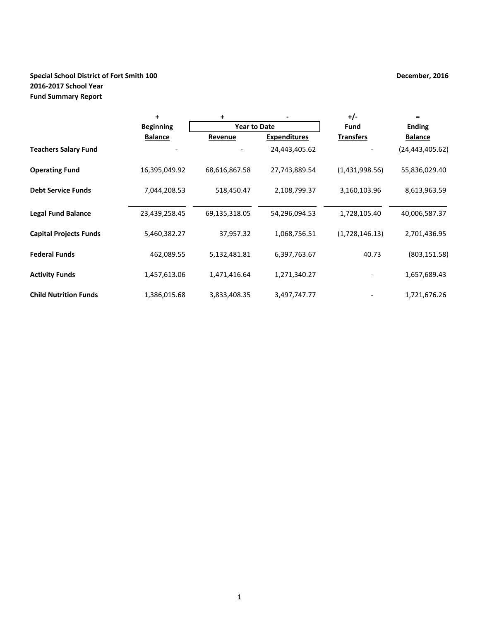# **Special School District of Fort Smith 100 December, 2016 December, 2016 2016-2017 School Year Fund Summary Report**

|                               | +                | +                   |                     | $+/-$            | $=$               |
|-------------------------------|------------------|---------------------|---------------------|------------------|-------------------|
|                               | <b>Beginning</b> | <b>Year to Date</b> |                     | Fund             | <b>Ending</b>     |
|                               | <b>Balance</b>   | Revenue             | <b>Expenditures</b> | <b>Transfers</b> | <b>Balance</b>    |
| <b>Teachers Salary Fund</b>   |                  |                     | 24,443,405.62       |                  | (24, 443, 405.62) |
| <b>Operating Fund</b>         | 16,395,049.92    | 68,616,867.58       | 27,743,889.54       | (1,431,998.56)   | 55,836,029.40     |
| <b>Debt Service Funds</b>     | 7,044,208.53     | 518,450.47          | 2,108,799.37        | 3,160,103.96     | 8,613,963.59      |
| <b>Legal Fund Balance</b>     | 23,439,258.45    | 69,135,318.05       | 54,296,094.53       | 1,728,105.40     | 40,006,587.37     |
| <b>Capital Projects Funds</b> | 5,460,382.27     | 37,957.32           | 1,068,756.51        | (1,728,146.13)   | 2,701,436.95      |
| <b>Federal Funds</b>          | 462,089.55       | 5,132,481.81        | 6,397,763.67        | 40.73            | (803, 151.58)     |
| <b>Activity Funds</b>         | 1,457,613.06     | 1,471,416.64        | 1,271,340.27        |                  | 1,657,689.43      |
| <b>Child Nutrition Funds</b>  | 1,386,015.68     | 3,833,408.35        | 3,497,747.77        |                  | 1,721,676.26      |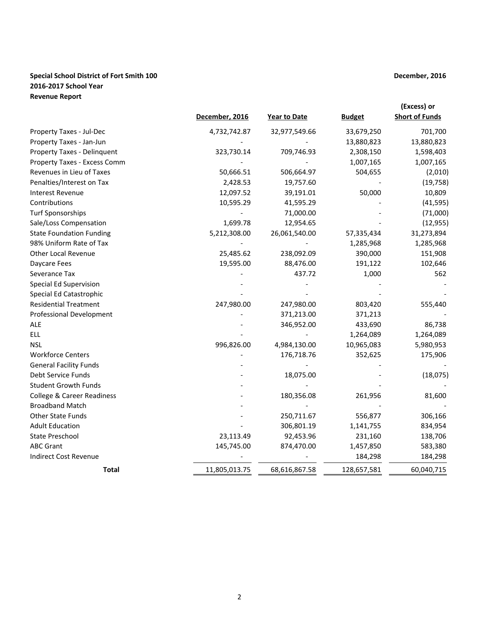### **Special School District of Fort Smith 100 December, 2016 2016-2017 School Year Revenue Report**

|                                       | December, 2016 |                     | <b>Budget</b> | (Excess) or<br><b>Short of Funds</b> |
|---------------------------------------|----------------|---------------------|---------------|--------------------------------------|
|                                       |                | <b>Year to Date</b> |               |                                      |
| Property Taxes - Jul-Dec              | 4,732,742.87   | 32,977,549.66       | 33,679,250    | 701,700                              |
| Property Taxes - Jan-Jun              |                |                     | 13,880,823    | 13,880,823                           |
| Property Taxes - Delinquent           | 323,730.14     | 709,746.93          | 2,308,150     | 1,598,403                            |
| Property Taxes - Excess Comm          |                |                     | 1,007,165     | 1,007,165                            |
| Revenues in Lieu of Taxes             | 50,666.51      | 506,664.97          | 504,655       | (2,010)                              |
| Penalties/Interest on Tax             | 2,428.53       | 19,757.60           |               | (19, 758)                            |
| <b>Interest Revenue</b>               | 12,097.52      | 39,191.01           | 50,000        | 10,809                               |
| Contributions                         | 10,595.29      | 41,595.29           |               | (41, 595)                            |
| <b>Turf Sponsorships</b>              |                | 71,000.00           |               | (71,000)                             |
| Sale/Loss Compensation                | 1,699.78       | 12,954.65           |               | (12, 955)                            |
| <b>State Foundation Funding</b>       | 5,212,308.00   | 26,061,540.00       | 57,335,434    | 31,273,894                           |
| 98% Uniform Rate of Tax               |                |                     | 1,285,968     | 1,285,968                            |
| <b>Other Local Revenue</b>            | 25,485.62      | 238,092.09          | 390,000       | 151,908                              |
| Daycare Fees                          | 19,595.00      | 88,476.00           | 191,122       | 102,646                              |
| Severance Tax                         |                | 437.72              | 1,000         | 562                                  |
| Special Ed Supervision                |                |                     |               |                                      |
| Special Ed Catastrophic               |                |                     |               |                                      |
| <b>Residential Treatment</b>          | 247,980.00     | 247,980.00          | 803,420       | 555,440                              |
| <b>Professional Development</b>       |                | 371,213.00          | 371,213       |                                      |
| <b>ALE</b>                            |                | 346,952.00          | 433,690       | 86,738                               |
| <b>ELL</b>                            |                |                     | 1,264,089     | 1,264,089                            |
| NSL                                   | 996,826.00     | 4,984,130.00        | 10,965,083    | 5,980,953                            |
| <b>Workforce Centers</b>              |                | 176,718.76          | 352,625       | 175,906                              |
| <b>General Facility Funds</b>         |                |                     |               |                                      |
| Debt Service Funds                    |                | 18,075.00           |               | (18, 075)                            |
| <b>Student Growth Funds</b>           |                |                     |               |                                      |
| <b>College &amp; Career Readiness</b> |                | 180,356.08          | 261,956       | 81,600                               |
| <b>Broadband Match</b>                |                |                     |               |                                      |
| <b>Other State Funds</b>              |                | 250,711.67          | 556,877       | 306,166                              |
| <b>Adult Education</b>                |                | 306,801.19          | 1,141,755     | 834,954                              |
| <b>State Preschool</b>                | 23,113.49      | 92,453.96           | 231,160       | 138,706                              |
| <b>ABC Grant</b>                      | 145,745.00     | 874,470.00          | 1,457,850     | 583,380                              |
| <b>Indirect Cost Revenue</b>          |                |                     | 184,298       | 184,298                              |
| Total                                 | 11,805,013.75  | 68,616,867.58       | 128,657,581   | 60,040,715                           |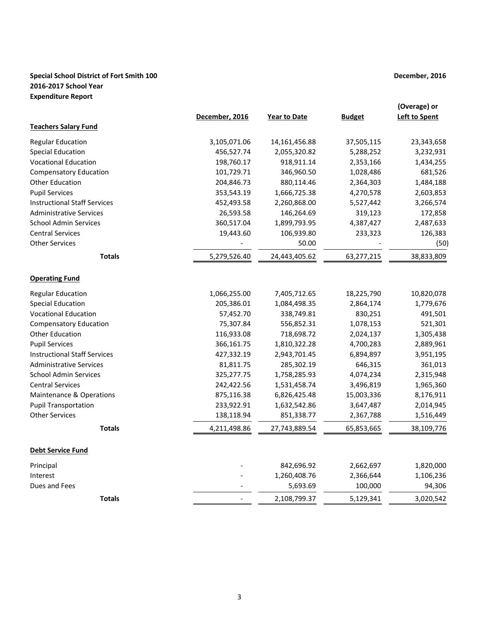# **Special School District of Fort Smith 100 December, 2016 December, 2016 2016-2017 School Year Expenditure Report**

|                                     | December, 2016 | Year to Date  | <b>Budget</b> | (Overage) or<br><b>Left to Spent</b> |
|-------------------------------------|----------------|---------------|---------------|--------------------------------------|
| <b>Teachers Salary Fund</b>         |                |               |               |                                      |
| <b>Regular Education</b>            | 3,105,071.06   | 14,161,456.88 | 37,505,115    | 23,343,658                           |
| <b>Special Education</b>            | 456,527.74     | 2,055,320.82  | 5,288,252     | 3,232,931                            |
| <b>Vocational Education</b>         | 198,760.17     | 918,911.14    | 2,353,166     | 1,434,255                            |
| <b>Compensatory Education</b>       | 101,729.71     | 346,960.50    | 1,028,486     | 681,526                              |
| <b>Other Education</b>              | 204,846.73     | 880,114.46    | 2,364,303     | 1,484,188                            |
| <b>Pupil Services</b>               | 353,543.19     | 1,666,725.38  | 4,270,578     | 2,603,853                            |
| <b>Instructional Staff Services</b> | 452,493.58     | 2,260,868.00  | 5,527,442     | 3,266,574                            |
| <b>Administrative Services</b>      | 26,593.58      | 146,264.69    | 319,123       | 172,858                              |
| <b>School Admin Services</b>        | 360,517.04     | 1,899,793.95  | 4,387,427     | 2,487,633                            |
| <b>Central Services</b>             | 19,443.60      | 106,939.80    | 233,323       | 126,383                              |
| <b>Other Services</b>               |                | 50.00         |               | (50)                                 |
| <b>Totals</b>                       | 5,279,526.40   | 24,443,405.62 | 63,277,215    | 38,833,809                           |
| <b>Operating Fund</b>               |                |               |               |                                      |
| <b>Regular Education</b>            | 1,066,255.00   | 7,405,712.65  | 18,225,790    | 10,820,078                           |
| <b>Special Education</b>            | 205,386.01     | 1,084,498.35  | 2,864,174     | 1,779,676                            |
| <b>Vocational Education</b>         | 57,452.70      | 338,749.81    | 830,251       | 491,501                              |
| <b>Compensatory Education</b>       | 75,307.84      | 556,852.31    | 1,078,153     | 521,301                              |
| <b>Other Education</b>              | 116,933.08     | 718,698.72    | 2,024,137     | 1,305,438                            |
| <b>Pupil Services</b>               | 366,161.75     | 1,810,322.28  | 4,700,283     | 2,889,961                            |
| <b>Instructional Staff Services</b> | 427,332.19     | 2,943,701.45  | 6,894,897     | 3,951,195                            |
| <b>Administrative Services</b>      | 81,811.75      | 285,302.19    | 646,315       | 361,013                              |
| <b>School Admin Services</b>        | 325,277.75     | 1,758,285.93  | 4,074,234     | 2,315,948                            |
| <b>Central Services</b>             | 242,422.56     | 1,531,458.74  | 3,496,819     | 1,965,360                            |
| <b>Maintenance &amp; Operations</b> | 875,116.38     | 6,826,425.48  | 15,003,336    | 8,176,911                            |
| <b>Pupil Transportation</b>         | 233,922.91     | 1,632,542.86  | 3,647,487     | 2,014,945                            |
| <b>Other Services</b>               | 138,118.94     | 851,338.77    | 2,367,788     | 1,516,449                            |
| <b>Totals</b>                       | 4,211,498.86   | 27,743,889.54 | 65,853,665    | 38,109,776                           |
| <b>Debt Service Fund</b>            |                |               |               |                                      |
| Principal                           |                | 842,696.92    | 2,662,697     | 1,820,000                            |
| Interest                            |                | 1,260,408.76  | 2,366,644     | 1,106,236                            |
| Dues and Fees                       |                | 5,693.69      | 100,000       | 94,306                               |
| <b>Totals</b>                       |                | 2,108,799.37  | 5,129,341     | 3,020,542                            |
|                                     |                |               |               |                                      |